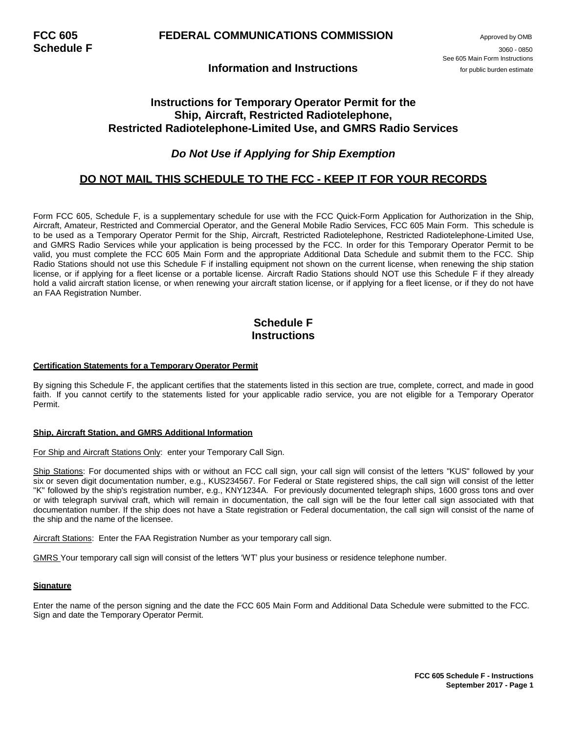### **Information and Instructions**

## **Instructions for Temporary Operator Permit for the Ship, Aircraft, Restricted Radiotelephone, Restricted Radiotelephone-Limited Use, and GMRS Radio Services**

## *Do Not Use if Applying for Ship Exemption*

### **DO NOT MAIL THIS SCHEDULE TO THE FCC - KEEP IT FOR YOUR RECORDS**

Form FCC 605, Schedule F, is a supplementary schedule for use with the FCC Quick-Form Application for Authorization in the Ship, Aircraft, Amateur, Restricted and Commercial Operator, and the General Mobile Radio Services, FCC 605 Main Form. This schedule is to be used as a Temporary Operator Permit for the Ship, Aircraft, Restricted Radiotelephone, Restricted Radiotelephone-Limited Use, and GMRS Radio Services while your application is being processed by the FCC. In order for this Temporary Operator Permit to be valid, you must complete the FCC 605 Main Form and the appropriate Additional Data Schedule and submit them to the FCC. Ship Radio Stations should not use this Schedule F if installing equipment not shown on the current license, when renewing the ship station license, or if applying for a fleet license or a portable license. Aircraft Radio Stations should NOT use this Schedule F if they already hold a valid aircraft station license, or when renewing your aircraft station license, or if applying for a fleet license, or if they do not have an FAA Registration Number.

# **Schedule F Instructions**

#### **Certification Statements for a Temporary Operator Permit**

By signing this Schedule F, the applicant certifies that the statements listed in this section are true, complete, correct, and made in good faith. If you cannot certify to the statements listed for your applicable radio service, you are not eligible for a Temporary Operator Permit.

### **Ship, Aircraft Station, and GMRS Additional Information**

#### For Ship and Aircraft Stations Only: enter your Temporary Call Sign.

Ship Stations: For documented ships with or without an FCC call sign, your call sign will consist of the letters "KUS" followed by your six or seven digit documentation number, e.g., KUS234567. For Federal or State registered ships, the call sign will consist of the letter "K" followed by the ship's registration number, e.g., KNY1234A. For previously documented telegraph ships, 1600 gross tons and over or with telegraph survival craft, which will remain in documentation, the call sign will be the four letter call sign associated with that documentation number. If the ship does not have a State registration or Federal documentation, the call sign will consist of the name of the ship and the name of the licensee.

Aircraft Stations: Enter the FAA Registration Number as your temporary call sign.

GMRS Your temporary call sign will consist of the letters 'WT' plus your business or residence telephone number.

### **Signature**

Enter the name of the person signing and the date the FCC 605 Main Form and Additional Data Schedule were submitted to the FCC. Sign and date the Temporary Operator Permit.